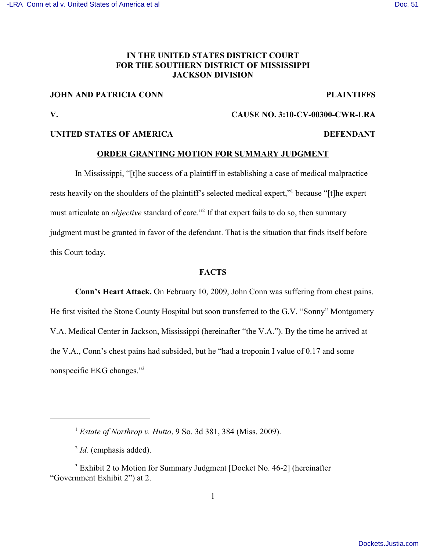# **IN THE UNITED STATES DISTRICT COURT FOR THE SOUTHERN DISTRICT OF MISSISSIPPI JACKSON DIVISION**

## **JOHN AND PATRICIA CONN PLAINTIFFS**

## **V. CAUSE NO. 3:10-CV-00300-CWR-LRA**

## **UNITED STATES OF AMERICA** DEFENDANT

## **ORDER GRANTING MOTION FOR SUMMARY JUDGMENT**

In Mississippi, "[t]he success of a plaintiff in establishing a case of medical malpractice rests heavily on the shoulders of the plaintiff's selected medical expert," because "[t]he expert must articulate an *objective* standard of care."<sup>2</sup> If that expert fails to do so, then summary judgment must be granted in favor of the defendant. That is the situation that finds itself before this Court today.

#### **FACTS**

**Conn's Heart Attack.** On February 10, 2009, John Conn was suffering from chest pains. He first visited the Stone County Hospital but soon transferred to the G.V. "Sonny" Montgomery V.A. Medical Center in Jackson, Mississippi (hereinafter "the V.A."). By the time he arrived at the V.A., Conn's chest pains had subsided, but he "had a troponin I value of 0.17 and some nonspecific EKG changes."<sup>3</sup>

*Estate of Northrop v. Hutto*, 9 So. 3d 381, 384 (Miss. 2009). <sup>1</sup>

 $<sup>2</sup>$  *Id.* (emphasis added).</sup>

<sup>&</sup>lt;sup>3</sup> Exhibit 2 to Motion for Summary Judgment [Docket No. 46-2] (hereinafter "Government Exhibit 2") at 2.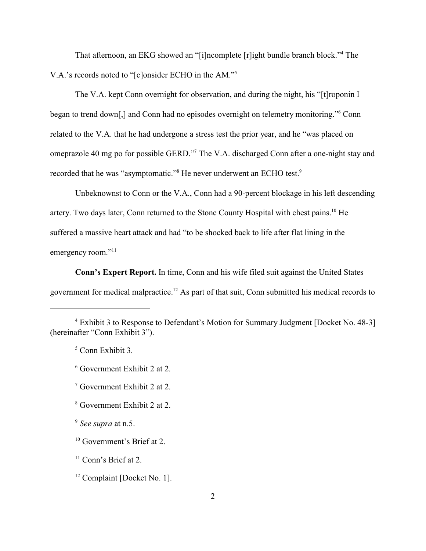That afternoon, an EKG showed an "[i]ncomplete [r]ight bundle branch block."<sup>4</sup> The V.A.'s records noted to "[c]onsider ECHO in the AM."<sup>5</sup>

The V.A. kept Conn overnight for observation, and during the night, his "[t]roponin I began to trend down[,] and Conn had no episodes overnight on telemetry monitoring." Conn related to the V.A. that he had undergone a stress test the prior year, and he "was placed on omeprazole 40 mg po for possible GERD."<sup>7</sup> The V.A. discharged Conn after a one-night stay and recorded that he was "asymptomatic."<sup>8</sup> He never underwent an ECHO test.<sup>9</sup>

Unbeknownst to Conn or the V.A., Conn had a 90-percent blockage in his left descending artery. Two days later, Conn returned to the Stone County Hospital with chest pains.<sup>10</sup> He suffered a massive heart attack and had "to be shocked back to life after flat lining in the emergency room."<sup>11</sup>

**Conn's Expert Report.** In time, Conn and his wife filed suit against the United States government for medical malpractice.<sup>12</sup> As part of that suit, Conn submitted his medical records to

 $5$  Conn Exhibit 3.

- $\frac{7}{7}$  Government Exhibit 2 at 2.
- <sup>8</sup> Government Exhibit 2 at 2.

<sup>9</sup> See supra at n.5.

Exhibit 3 to Response to Defendant's Motion for Summary Judgment [Docket No. 48-3] <sup>4</sup> (hereinafter "Conn Exhibit 3").

 $6$  Government Exhibit 2 at 2.

 $10$  Government's Brief at 2.

 $11$  Conn's Brief at 2.

 $12$  Complaint [Docket No. 1].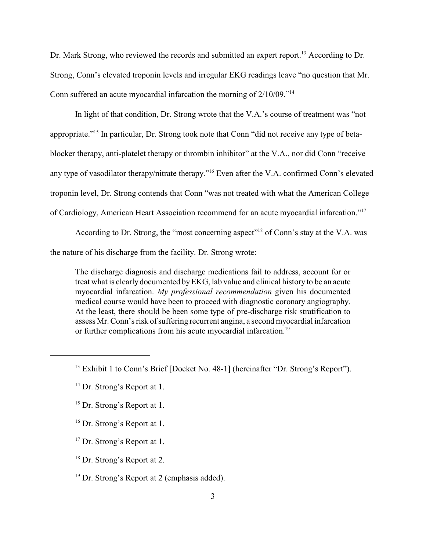Dr. Mark Strong, who reviewed the records and submitted an expert report.<sup>13</sup> According to Dr. Strong, Conn's elevated troponin levels and irregular EKG readings leave "no question that Mr. Conn suffered an acute myocardial infarcation the morning of 2/10/09."<sup>14</sup>

In light of that condition, Dr. Strong wrote that the V.A.'s course of treatment was "not appropriate."<sup>15</sup> In particular, Dr. Strong took note that Conn "did not receive any type of betablocker therapy, anti-platelet therapy or thrombin inhibitor" at the V.A., nor did Conn "receive any type of vasodilator therapy/nitrate therapy."<sup>16</sup> Even after the V.A. confirmed Conn's elevated troponin level, Dr. Strong contends that Conn "was not treated with what the American College of Cardiology, American Heart Association recommend for an acute myocardial infarcation."<sup>17</sup>

According to Dr. Strong, the "most concerning aspect"<sup>18</sup> of Conn's stay at the V.A. was

the nature of his discharge from the facility. Dr. Strong wrote:

The discharge diagnosis and discharge medications fail to address, account for or treat what is clearly documented byEKG, lab value and clinical history to be an acute myocardial infarcation. *My professional recommendation* given his documented medical course would have been to proceed with diagnostic coronary angiography. At the least, there should be been some type of pre-discharge risk stratification to assess Mr. Conn's risk of suffering recurrent angina, a second myocardial infarcation or further complications from his acute myocardial infarcation.<sup>19</sup>

- $16$  Dr. Strong's Report at 1.
- $17$  Dr. Strong's Report at 1.
- $18$  Dr. Strong's Report at 2.

<sup>&</sup>lt;sup>13</sup> Exhibit 1 to Conn's Brief [Docket No. 48-1] (hereinafter "Dr. Strong's Report").

 $14$  Dr. Strong's Report at 1.

 $15$  Dr. Strong's Report at 1.

 $19$  Dr. Strong's Report at 2 (emphasis added).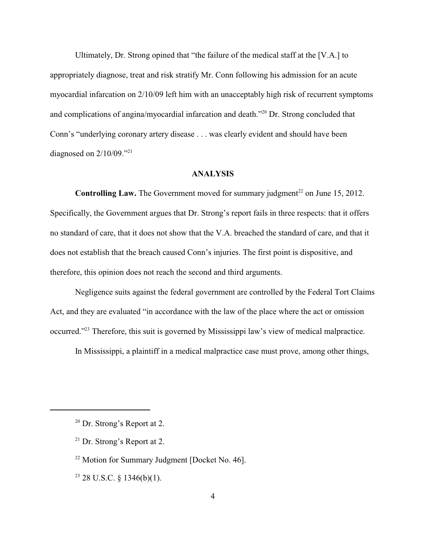Ultimately, Dr. Strong opined that "the failure of the medical staff at the [V.A.] to appropriately diagnose, treat and risk stratify Mr. Conn following his admission for an acute myocardial infarcation on 2/10/09 left him with an unacceptably high risk of recurrent symptoms and complications of angina/myocardial infarcation and death. $"^{20}$  Dr. Strong concluded that Conn's "underlying coronary artery disease . . . was clearly evident and should have been diagnosed on  $2/10/09$ ."<sup>21</sup>

## **ANALYSIS**

**Controlling Law.** The Government moved for summary judgment<sup>22</sup> on June 15, 2012. Specifically, the Government argues that Dr. Strong's report fails in three respects: that it offers no standard of care, that it does not show that the V.A. breached the standard of care, and that it does not establish that the breach caused Conn's injuries. The first point is dispositive, and therefore, this opinion does not reach the second and third arguments.

Negligence suits against the federal government are controlled by the Federal Tort Claims Act, and they are evaluated "in accordance with the law of the place where the act or omission occurred."<sup>23</sup> Therefore, this suit is governed by Mississippi law's view of medical malpractice.

In Mississippi, a plaintiff in a medical malpractice case must prove, among other things,

<sup>23</sup> 28 U.S.C. § 1346(b)(1).

 $20$  Dr. Strong's Report at 2.

 $21$  Dr. Strong's Report at 2.

 $22$  Motion for Summary Judgment [Docket No. 46].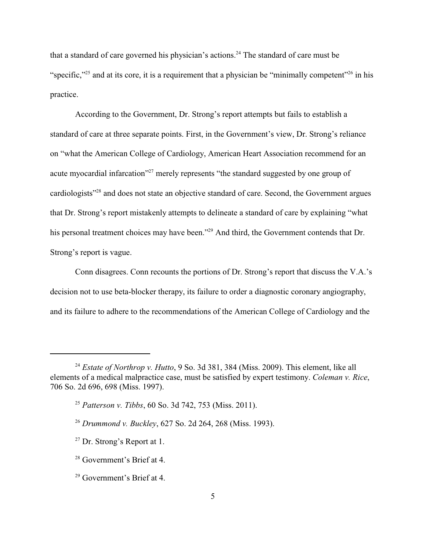that a standard of care governed his physician's actions.<sup>24</sup> The standard of care must be "specific,"<sup>25</sup> and at its core, it is a requirement that a physician be "minimally competent"<sup>26</sup> in his practice.

According to the Government, Dr. Strong's report attempts but fails to establish a standard of care at three separate points. First, in the Government's view, Dr. Strong's reliance on "what the American College of Cardiology, American Heart Association recommend for an acute myocardial infarcation"<sup>27</sup> merely represents "the standard suggested by one group of cardiologists<sup>"28</sup> and does not state an objective standard of care. Second, the Government argues that Dr. Strong's report mistakenly attempts to delineate a standard of care by explaining "what his personal treatment choices may have been."<sup>29</sup> And third, the Government contends that Dr. Strong's report is vague.

Conn disagrees. Conn recounts the portions of Dr. Strong's report that discuss the V.A.'s decision not to use beta-blocker therapy, its failure to order a diagnostic coronary angiography, and its failure to adhere to the recommendations of the American College of Cardiology and the

<sup>&</sup>lt;sup>24</sup> Estate of Northrop v. Hutto, 9 So. 3d 381, 384 (Miss. 2009). This element, like all elements of a medical malpractice case, must be satisfied by expert testimony. *Coleman v. Rice*, 706 So. 2d 696, 698 (Miss. 1997).

<sup>&</sup>lt;sup>25</sup> Patterson *v. Tibbs*, 60 So. 3d 742, 753 (Miss. 2011).

<sup>&</sup>lt;sup>26</sup> Drummond v. Buckley, 627 So. 2d 264, 268 (Miss. 1993).

 $27$  Dr. Strong's Report at 1.

<sup>&</sup>lt;sup>28</sup> Government's Brief at 4.

 $29$  Government's Brief at 4.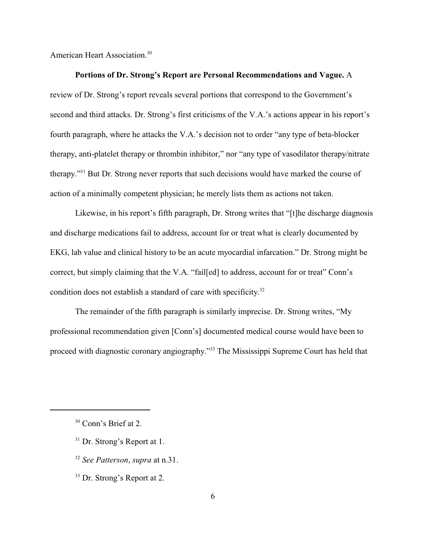American Heart Association.<sup>30</sup>

#### **Portions of Dr. Strong's Report are Personal Recommendations and Vague.** A

review of Dr. Strong's report reveals several portions that correspond to the Government's second and third attacks. Dr. Strong's first criticisms of the V.A.'s actions appear in his report's fourth paragraph, where he attacks the V.A.'s decision not to order "any type of beta-blocker therapy, anti-platelet therapy or thrombin inhibitor," nor "any type of vasodilator therapy/nitrate therapy."<sup>31</sup> But Dr. Strong never reports that such decisions would have marked the course of action of a minimally competent physician; he merely lists them as actions not taken.

Likewise, in his report's fifth paragraph, Dr. Strong writes that "[t]he discharge diagnosis and discharge medications fail to address, account for or treat what is clearly documented by EKG, lab value and clinical history to be an acute myocardial infarcation." Dr. Strong might be correct, but simply claiming that the V.A. "fail[ed] to address, account for or treat" Conn's condition does not establish a standard of care with specificity.<sup>32</sup>

The remainder of the fifth paragraph is similarly imprecise. Dr. Strong writes, "My professional recommendation given [Conn's] documented medical course would have been to proceed with diagnostic coronary angiography."<sup>33</sup> The Mississippi Supreme Court has held that

- $31$  Dr. Strong's Report at 1.
- <sup>32</sup> See Patterson, *supra* at n.31.
- $33$  Dr. Strong's Report at 2.

 $30$  Conn's Brief at 2.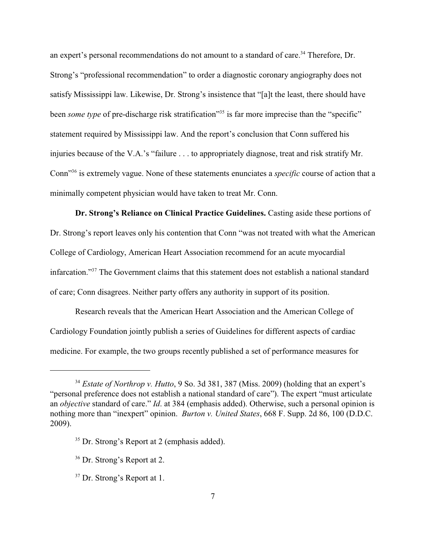an expert's personal recommendations do not amount to a standard of care.<sup>34</sup> Therefore, Dr. Strong's "professional recommendation" to order a diagnostic coronary angiography does not satisfy Mississippi law. Likewise, Dr. Strong's insistence that "[a]t the least, there should have been *some type* of pre-discharge risk stratification<sup>35</sup> is far more imprecise than the "specific" statement required by Mississippi law. And the report's conclusion that Conn suffered his injuries because of the V.A.'s "failure . . . to appropriately diagnose, treat and risk stratify Mr. Conn<sup>336</sup> is extremely vague. None of these statements enunciates a *specific* course of action that a minimally competent physician would have taken to treat Mr. Conn.

**Dr. Strong's Reliance on Clinical Practice Guidelines.** Casting aside these portions of Dr. Strong's report leaves only his contention that Conn "was not treated with what the American College of Cardiology, American Heart Association recommend for an acute myocardial infarcation."<sup>37</sup> The Government claims that this statement does not establish a national standard of care; Conn disagrees. Neither party offers any authority in support of its position.

Research reveals that the American Heart Association and the American College of Cardiology Foundation jointly publish a series of Guidelines for different aspects of cardiac medicine. For example, the two groups recently published a set of performance measures for

<sup>&</sup>lt;sup>34</sup> Estate of Northrop v. Hutto, 9 So. 3d 381, 387 (Miss. 2009) (holding that an expert's "personal preference does not establish a national standard of care"). The expert "must articulate an *objective* standard of care." *Id*. at 384 (emphasis added). Otherwise, such a personal opinion is nothing more than "inexpert" opinion. *Burton v. United States*, 668 F. Supp. 2d 86, 100 (D.D.C. 2009).

 $35$  Dr. Strong's Report at 2 (emphasis added).

 $36$  Dr. Strong's Report at 2.

 $37$  Dr. Strong's Report at 1.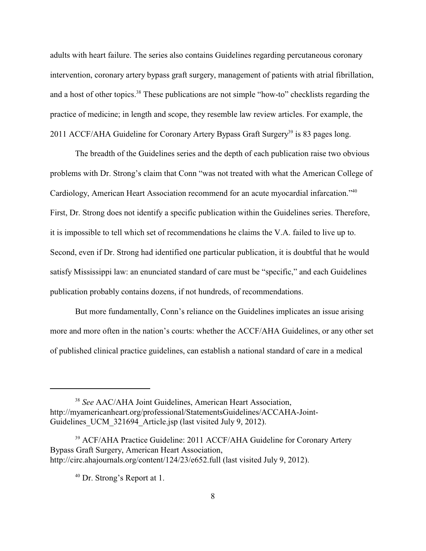adults with heart failure. The series also contains Guidelines regarding percutaneous coronary intervention, coronary artery bypass graft surgery, management of patients with atrial fibrillation, and a host of other topics.<sup>38</sup> These publications are not simple "how-to" checklists regarding the practice of medicine; in length and scope, they resemble law review articles. For example, the 2011 ACCF/AHA Guideline for Coronary Artery Bypass Graft Surgery<sup>39</sup> is 83 pages long.

The breadth of the Guidelines series and the depth of each publication raise two obvious problems with Dr. Strong's claim that Conn "was not treated with what the American College of Cardiology, American Heart Association recommend for an acute myocardial infarcation."<sup>40</sup> First, Dr. Strong does not identify a specific publication within the Guidelines series. Therefore, it is impossible to tell which set of recommendations he claims the V.A. failed to live up to. Second, even if Dr. Strong had identified one particular publication, it is doubtful that he would satisfy Mississippi law: an enunciated standard of care must be "specific," and each Guidelines publication probably contains dozens, if not hundreds, of recommendations.

But more fundamentally, Conn's reliance on the Guidelines implicates an issue arising more and more often in the nation's courts: whether the ACCF/AHA Guidelines, or any other set of published clinical practice guidelines, can establish a national standard of care in a medical

<sup>&</sup>lt;sup>38</sup> See AAC/AHA Joint Guidelines, American Heart Association, http://myamericanheart.org/professional/StatementsGuidelines/ACCAHA-Joint-Guidelines UCM 321694 Article.jsp (last visited July 9, 2012).

<sup>&</sup>lt;sup>39</sup> ACF/AHA Practice Guideline: 2011 ACCF/AHA Guideline for Coronary Artery Bypass Graft Surgery, American Heart Association, http://circ.ahajournals.org/content/124/23/e652.full (last visited July 9, 2012).

 $40$  Dr. Strong's Report at 1.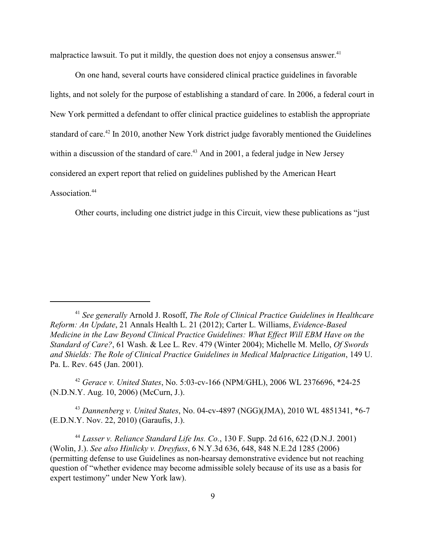malpractice lawsuit. To put it mildly, the question does not enjoy a consensus answer.<sup>41</sup>

On one hand, several courts have considered clinical practice guidelines in favorable lights, and not solely for the purpose of establishing a standard of care. In 2006, a federal court in New York permitted a defendant to offer clinical practice guidelines to establish the appropriate standard of care.<sup>42</sup> In 2010, another New York district judge favorably mentioned the Guidelines within a discussion of the standard of care.<sup> $43$ </sup> And in 2001, a federal judge in New Jersey considered an expert report that relied on guidelines published by the American Heart Association<sup>44</sup>

Other courts, including one district judge in this Circuit, view these publications as "just

<sup>42</sup> Gerace v. United States, No. 5:03-cv-166 (NPM/GHL), 2006 WL 2376696, \*24-25 (N.D.N.Y. Aug. 10, 2006) (McCurn, J.).

*Dannenberg v. United States*, No. 04-cv-4897 (NGG)(JMA), 2010 WL 4851341, \*6-7 <sup>43</sup> (E.D.N.Y. Nov. 22, 2010) (Garaufis, J.).

*Lasser v. Reliance Standard Life Ins. Co.*, 130 F. Supp. 2d 616, 622 (D.N.J. 2001) <sup>44</sup> (Wolin, J.). *See also Hinlicky v. Dreyfuss*, 6 N.Y.3d 636, 648, 848 N.E.2d 1285 (2006) (permitting defense to use Guidelines as non-hearsay demonstrative evidence but not reaching question of "whether evidence may become admissible solely because of its use as a basis for expert testimony" under New York law).

<sup>&</sup>lt;sup>41</sup> See generally Arnold J. Rosoff, *The Role of Clinical Practice Guidelines in Healthcare Reform: An Update*, 21 Annals Health L. 21 (2012); Carter L. Williams, *Evidence-Based Medicine in the Law Beyond Clinical Practice Guidelines: What Effect Will EBM Have on the Standard of Care?*, 61 Wash. & Lee L. Rev. 479 (Winter 2004); Michelle M. Mello, *Of Swords and Shields: The Role of Clinical Practice Guidelines in Medical Malpractice Litigation*, 149 U. Pa. L. Rev. 645 (Jan. 2001).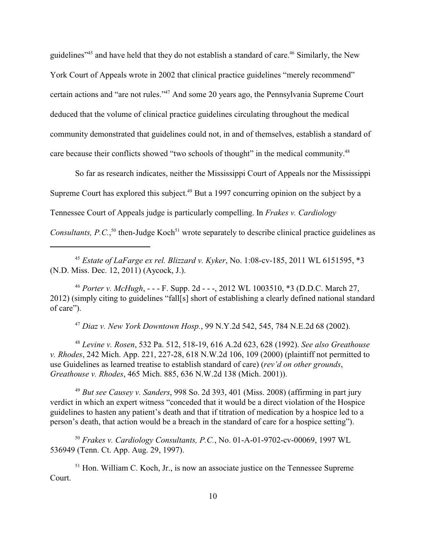guidelines<sup>"45</sup> and have held that they do not establish a standard of care.<sup>46</sup> Similarly, the New York Court of Appeals wrote in 2002 that clinical practice guidelines "merely recommend" certain actions and "are not rules."<sup>47</sup> And some 20 years ago, the Pennsylvania Supreme Court deduced that the volume of clinical practice guidelines circulating throughout the medical community demonstrated that guidelines could not, in and of themselves, establish a standard of care because their conflicts showed "two schools of thought" in the medical community.<sup>48</sup>

So far as research indicates, neither the Mississippi Court of Appeals nor the Mississippi Supreme Court has explored this subject.<sup>49</sup> But a 1997 concurring opinion on the subject by a Tennessee Court of Appeals judge is particularly compelling. In *Frakes v. Cardiology Consultants, P.C.*,<sup> $50$ </sup> then-Judge Koch<sup> $51$ </sup> wrote separately to describe clinical practice guidelines as

<sup>45</sup> *Estate of LaFarge ex rel. Blizzard v. Kyker, No.* 1:08-cv-185, 2011 WL 6151595, \*3 (N.D. Miss. Dec. 12, 2011) (Aycock, J.).

*Porter v. McHugh*, - - - F. Supp. 2d - - -, 2012 WL 1003510, \*3 (D.D.C. March 27, <sup>46</sup> 2012) (simply citing to guidelines "fall[s] short of establishing a clearly defined national standard of care").

*Diaz v. New York Downtown Hosp.*, 99 N.Y.2d 542, 545, 784 N.E.2d 68 (2002). <sup>47</sup>

*Levine v. Rosen*, 532 Pa. 512, 518-19, 616 A.2d 623, 628 (1992). *See also Greathouse* <sup>48</sup> *v. Rhodes*, 242 Mich. App. 221, 227-28, 618 N.W.2d 106, 109 (2000) (plaintiff not permitted to use Guidelines as learned treatise to establish standard of care) (*rev'd on other grounds*, *Greathouse v. Rhodes*, 465 Mich. 885, 636 N.W.2d 138 (Mich. 2001)).

<sup>49</sup> But see Causey v. Sanders, 998 So. 2d 393, 401 (Miss. 2008) (affirming in part jury verdict in which an expert witness "conceded that it would be a direct violation of the Hospice guidelines to hasten any patient's death and that if titration of medication by a hospice led to a person's death, that action would be a breach in the standard of care for a hospice setting").

<sup>50</sup> Frakes v. Cardiology Consultants, P.C., No. 01-A-01-9702-cv-00069, 1997 WL 536949 (Tenn. Ct. App. Aug. 29, 1997).

 $<sup>51</sup>$  Hon. William C. Koch, Jr., is now an associate justice on the Tennessee Supreme</sup> Court.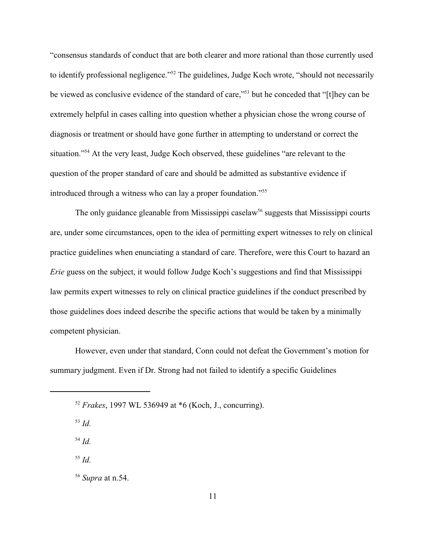"consensus standards of conduct that are both clearer and more rational than those currently used to identify professional negligence."<sup>52</sup> The guidelines, Judge Koch wrote, "should not necessarily be viewed as conclusive evidence of the standard of care,"<sup>53</sup> but he conceded that "[t]hey can be extremely helpful in cases calling into question whether a physician chose the wrong course of diagnosis or treatment or should have gone further in attempting to understand or correct the situation."<sup>54</sup> At the very least, Judge Koch observed, these guidelines "are relevant to the question of the proper standard of care and should be admitted as substantive evidence if introduced through a witness who can lay a proper foundation."<sup>55</sup>

The only guidance gleanable from Mississippi caselaw<sup>56</sup> suggests that Mississippi courts are, under some circumstances, open to the idea of permitting expert witnesses to rely on clinical practice guidelines when enunciating a standard of care. Therefore, were this Court to hazard an *Erie* guess on the subject, it would follow Judge Koch's suggestions and find that Mississippi law permits expert witnesses to rely on clinical practice guidelines if the conduct prescribed by those guidelines does indeed describe the specific actions that would be taken by a minimally competent physician.

However, even under that standard, Conn could not defeat the Government's motion for summary judgment. Even if Dr. Strong had not failed to identify a specific Guidelines

*Id.* <sup>53</sup>

 $^{54}$  *Id.* 

 $^{55}$  *Id.* 

<sup>56</sup> Supra at n.54.

*Frakes*, 1997 WL 536949 at \*6 (Koch, J., concurring). <sup>52</sup>